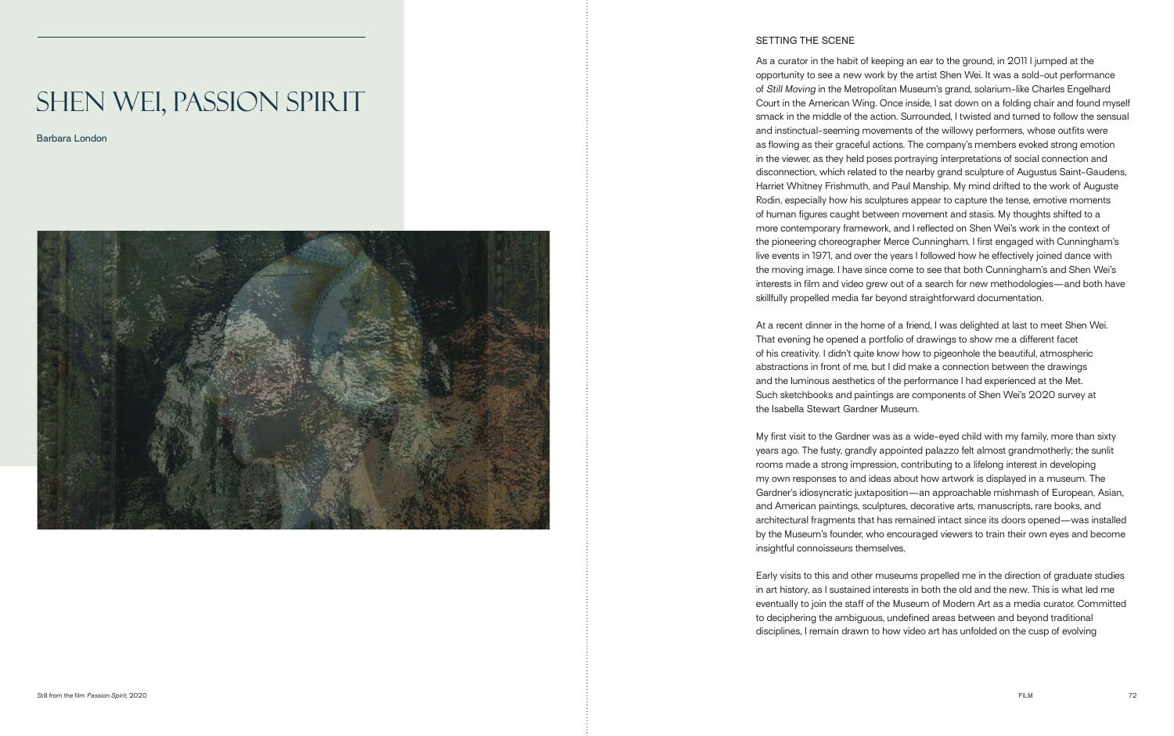# Shen Wei, Passion Spirit

Barbara London



# SETTING THE SCENE

As a curator in the habit of keeping an ear to the ground, in 2011 I jumped at the opportunity to see a new work by the artist Shen Wei. It was a sold-out performance of *Still Moving* in the Metropolitan Museum's grand, solarium-like Charles Engelhard Court in the American Wing. Once inside, I sat down on a folding chair and found myself smack in the middle of the action. Surrounded, I twisted and turned to follow the sensual and instinctual-seeming movements of the willowy performers, whose outfits were as flowing as their graceful actions. The company's members evoked strong emotion in the viewer, as they held poses portraying interpretations of social connection and disconnection, which related to the nearby grand sculpture of Augustus Saint-Gaudens, Harriet Whitney Frishmuth, and Paul Manship. My mind drifted to the work of Auguste Rodin, especially how his sculptures appear to capture the tense, emotive moments of human figures caught between movement and stasis. My thoughts shifted to a more contemporary framework, and I reflected on Shen Wei's work in the context of the pioneering choreographer Merce Cunningham. I first engaged with Cunningham's live events in 1971, and over the years I followed how he effectively joined dance with the moving image. I have since come to see that both Cunningham's and Shen Wei's interests in film and video grew out of a search for new methodologies—and both have skillfully propelled media far beyond straightforward documentation.

At a recent dinner in the home of a friend, I was delighted at last to meet Shen Wei. That evening he opened a portfolio of drawings to show me a different facet of his creativity. I didn't quite know how to pigeonhole the beautiful, atmospheric abstractions in front of me, but I did make a connection between the drawings and the luminous aesthetics of the performance I had experienced at the Met. Such sketchbooks and paintings are components of Shen Wei's 2020 survey at the Isabella Stewart Gardner Museum.

My first visit to the Gardner was as a wide-eyed child with my family, more than sixty years ago. The fusty, grandly appointed palazzo felt almost grandmotherly; the sunlit rooms made a strong impression, contributing to a lifelong interest in developing my own responses to and ideas about how artwork is displayed in a museum. The Gardner's idiosyncratic juxtaposition—an approachable mishmash of European, Asian, and American paintings, sculptures, decorative arts, manuscripts, rare books, and architectural fragments that has remained intact since its doors opened—was installed by the Museum's founder, who encouraged viewers to train their own eyes and become insightful connoisseurs themselves.

Early visits to this and other museums propelled me in the direction of graduate studies in art history, as I sustained interests in both the old and the new. This is what led me eventually to join the staff of the Museum of Modern Art as a media curator. Committed to deciphering the ambiguous, undefined areas between and beyond traditional disciplines, I remain drawn to how video art has unfolded on the cusp of evolving